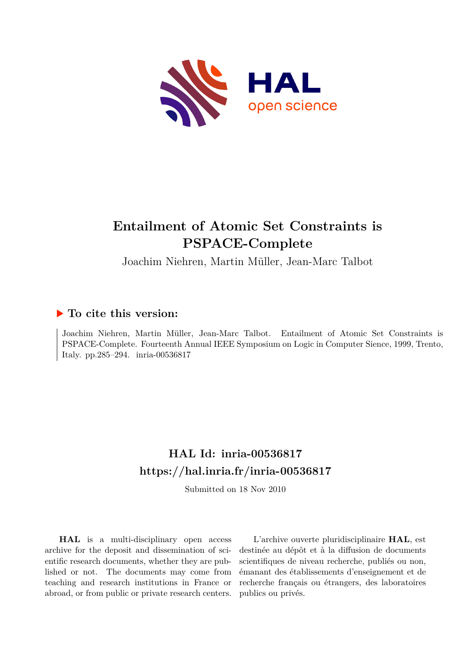

# **Entailment of Atomic Set Constraints is PSPACE-Complete**

Joachim Niehren, Martin Müller, Jean-Marc Talbot

# **To cite this version:**

Joachim Niehren, Martin Müller, Jean-Marc Talbot. Entailment of Atomic Set Constraints is PSPACE-Complete. Fourteenth Annual IEEE Symposium on Logic in Computer Sience, 1999, Trento, Italy. pp.285-294. inria-00536817

# **HAL Id: inria-00536817 <https://hal.inria.fr/inria-00536817>**

Submitted on 18 Nov 2010

**HAL** is a multi-disciplinary open access archive for the deposit and dissemination of scientific research documents, whether they are published or not. The documents may come from teaching and research institutions in France or abroad, or from public or private research centers.

L'archive ouverte pluridisciplinaire **HAL**, est destinée au dépôt et à la diffusion de documents scientifiques de niveau recherche, publiés ou non, émanant des établissements d'enseignement et de recherche français ou étrangers, des laboratoires publics ou privés.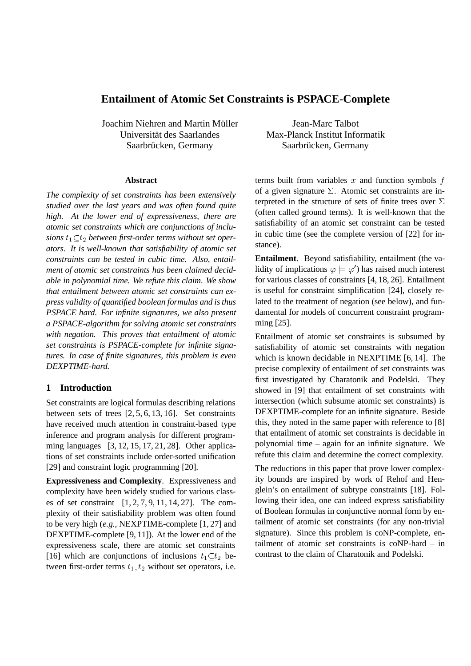# **Entailment of Atomic Set Constraints is PSPACE-Complete**

Joachim Niehren and Martin Müller Jean-Marc Talbot Saarbrücken, Germany Saarbrücken, Germany

#### **Abstract**

*The complexity of set constraints has been extensively studied over the last years and was often found quite high. At the lower end of expressiveness, there are atomic set constraints which are conjunctions of inclusions*  $t_1 \subseteq t_2$  *between first-order terms without set operators. It is well-known that satisfiability of atomic set constraints can be tested in cubic time. Also, entailment of atomic set constraints has been claimed decidable in polynomial time. We refute this claim. We show that entailment between atomic set constraints can express validity of quantified boolean formulas and is thus PSPACE hard. For infinite signatures, we also present a PSPACE-algorithm for solving atomic set constraints with negation. This proves that entailment of atomic set constraints is PSPACE-complete for infinite signatures. In case of finite signatures, this problem is even DEXPTIME-hard.*

# **1 Introduction**

Set constraints are logical formulas describing relations between sets of trees [2, 5, 6, 13, 16]. Set constraints have received much attention in constraint-based type inference and program analysis for different programming languages [3, 12, 15, 17, 21, 28]. Other applications of set constraints include order-sorted unification [29] and constraint logic programming [20].

**Expressiveness and Complexity**. Expressiveness and complexity have been widely studied for various classes of set constraint [1, 2, 7, 9, 11, 14, 27]. The complexity of their satisfiability problem was often found to be very high (*e.g.*, NEXPTIME-complete [1, 27] and DEXPTIME-complete [9, 11]). At the lower end of the expressiveness scale, there are atomic set constraints [16] which are conjunctions of inclusions  $t_1 \subseteq t_2$  between first-order terms  $t_1, t_2$  without set operators, i.e.

Universität des Saarlandes Max-Planck Institut Informatik

terms built from variables  $x$  and function symbols  $f$ of a given signature  $\Sigma$ . Atomic set constraints are interpreted in the structure of sets of finite trees over  $\Sigma$ (often called ground terms). It is well-known that the satisfiability of an atomic set constraint can be tested in cubic time (see the complete version of [22] for instance).

**Entailment**. Beyond satisfiability, entailment (the validity of implications  $\varphi \models \varphi'$  has raised much interest for various classes of constraints [4, 18, 26]. Entailment is useful for constraint simplification [24], closely related to the treatment of negation (see below), and fundamental for models of concurrent constraint programming [25].

Entailment of atomic set constraints is subsumed by satisfiability of atomic set constraints with negation which is known decidable in NEXPTIME [6, 14]. The precise complexity of entailment of set constraints was first investigated by Charatonik and Podelski. They showed in [9] that entailment of set constraints with intersection (which subsume atomic set constraints) is DEXPTIME-complete for an infinite signature. Beside this, they noted in the same paper with reference to [8] that entailment of atomic set constraints is decidable in polynomial time – again for an infinite signature. We refute this claim and determine the correct complexity.

The reductions in this paper that prove lower complexity bounds are inspired by work of Rehof and Henglein's on entailment of subtype constraints [18]. Following their idea, one can indeed express satisfiability of Boolean formulas in conjunctive normal form by entailment of atomic set constraints (for any non-trivial signature). Since this problem is coNP-complete, entailment of atomic set constraints is coNP-hard – in contrast to the claim of Charatonik and Podelski.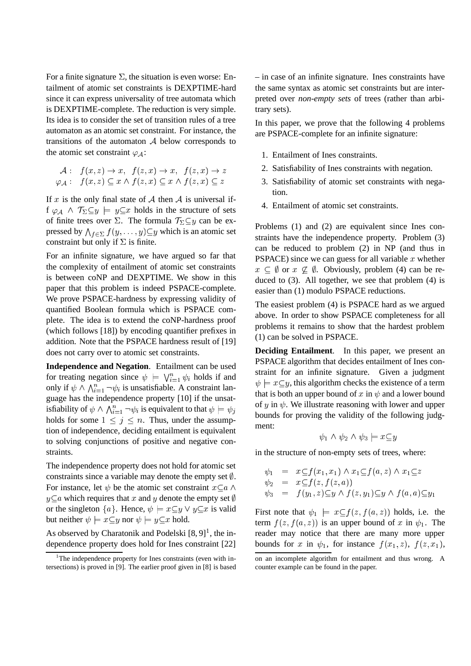For a finite signature  $\Sigma$ , the situation is even worse: Entailment of atomic set constraints is DEXPTIME-hard since it can express universality of tree automata which is DEXPTIME-complete. The reduction is very simple. Its idea is to consider the set of transition rules of a tree automaton as an atomic set constraint. For instance, the transitions of the automaton  $A$  below corresponds to the atomic set constraint  $\varphi_A$ :

$$
\mathcal{A}: f(x, z) \to x, f(z, x) \to x, f(z, x) \to z
$$
  

$$
\varphi_A: f(x, z) \subseteq x \land f(z, x) \subseteq x \land f(z, x) \subseteq z
$$

If x is the only final state of  $A$  then  $A$  is universal if $f \varphi_A \wedge \mathcal{T}_\Sigma \subseteq y \models y \subseteq x$  holds in the structure of sets of finite trees over  $\Sigma$ . The formula  $\mathcal{T}_{\Sigma} \subseteq y$  can be expressed by  $\bigwedge_{f \in \Sigma} f(y, \ldots, y) \subseteq y$  which is an atomic set constraint but only if  $\Sigma$  is finite.

For an infinite signature, we have argued so far that the complexity of entailment of atomic set constraints is between coNP and DEXPTIME. We show in this paper that this problem is indeed PSPACE-complete. We prove PSPACE-hardness by expressing validity of quantified Boolean formula which is PSPACE complete. The idea is to extend the coNP-hardness proof (which follows [18]) by encoding quantifier prefixes in addition. Note that the PSPACE hardness result of [19] does not carry over to atomic set constraints.

**Independence and Negation**. Entailment can be used for treating negation since  $\psi \models \bigvee_{i=1}^n \psi_i$  holds if and only if  $\psi \wedge \bigwedge_{i=1}^n \neg \psi_i$  is unsatisfiable. A constraint language has the independence property [10] if the unsatisfiability of  $\psi \wedge \bigwedge_{i=1}^n \neg \psi_i$  is equivalent to that  $\psi \models \psi_i$ holds for some  $1 \leq j \leq n$ . Thus, under the assumption of independence, deciding entailment is equivalent to solving conjunctions of positive and negative constraints.

The independence property does not hold for atomic set constraints since a variable may denote the empty set  $\emptyset$ . For instance, let  $\psi$  be the atomic set constraint  $x \subseteq a \land a$  $y\mathcal{I}a$  which requires that x and y denote the empty set  $\emptyset$ or the singleton  $\{a\}$ . Hence,  $\psi = x \subseteq y \lor y \subseteq x$  is valid but neither  $\psi \models x \subseteq y$  nor  $\psi \models y \subseteq x$  hold.

As observed by Charatonik and Podelski  $[8, 9]$ <sup>1</sup>, the independence property does hold for Ines constraint [22] – in case of an infinite signature. Ines constraints have the same syntax as atomic set constraints but are interpreted over *non-empty sets* of trees (rather than arbitrary sets).

In this paper, we prove that the following 4 problems are PSPACE-complete for an infinite signature:

- 1. Entailment of Ines constraints.
- 2. Satisfiability of Ines constraints with negation.
- 3. Satisfiability of atomic set constraints with negation.
- 4. Entailment of atomic set constraints.

Problems (1) and (2) are equivalent since Ines constraints have the independence property. Problem (3) can be reduced to problem (2) in NP (and thus in PSPACE) since we can guess for all variable  $x$  whether  $x \subseteq \emptyset$  or  $x \not\subseteq \emptyset$ . Obviously, problem (4) can be reduced to (3). All together, we see that problem (4) is easier than (1) modulo PSPACE reductions.

The easiest problem (4) is PSPACE hard as we argued above. In order to show PSPACE completeness for all problems it remains to show that the hardest problem (1) can be solved in PSPACE.

**Deciding Entailment**. In this paper, we present an PSPACE algorithm that decides entailment of Ines constraint for an infinite signature. Given a judgment  $\psi = x \subseteq y$ , this algorithm checks the existence of a term that is both an upper bound of x in  $\psi$  and a lower bound of y in  $\psi$ . We illustrate reasoning with lower and upper bounds for proving the validity of the following judgment:

$$
\psi_1 \wedge \psi_2 \wedge \psi_3 \models x \subseteq y
$$

in the structure of non-empty sets of trees, where:

$$
\psi_1 = x \subseteq f(x_1, x_1) \land x_1 \subseteq f(a, z) \land x_1 \subseteq z
$$
  
\n
$$
\psi_2 = x \subseteq f(z, f(z, a))
$$
  
\n
$$
\psi_3 = f(y_1, z) \subseteq y \land f(z, y_1) \subseteq y \land f(a, a) \subseteq y_1
$$

First note that  $\psi_1 \models x \subseteq f (z, f (a, z))$  holds, i.e. the term  $f(z, f(a, z))$  is an upper bound of x in  $\psi_1$ . The reader may notice that there are many more upper bounds for x in  $\psi_1$ , for instance  $f(x_1, z)$ ,  $f(z, x_1)$ ,

 $1$ <sup>1</sup>The independence property for Ines constraints (even with intersections) is proved in [9]. The earlier proof given in [8] is based

on an incomplete algorithm for entailment and thus wrong. A counter example can be found in the paper.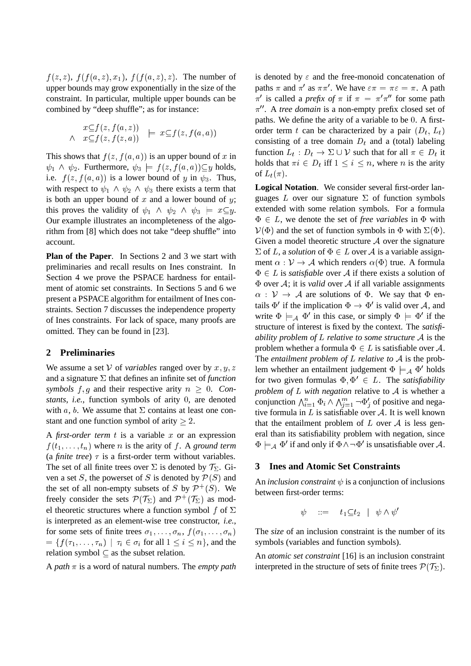$f(z, z)$ ,  $f(f(a, z), x_1)$ ,  $f(f(a, z), z)$ . The number of upper bounds may grow exponentially in the size of the constraint. In particular, multiple upper bounds can be combined by "deep shuffle"; as for instance:

$$
\begin{array}{rcl}\nx \subseteq f(z,f(a,z)) \\
\wedge & x \subseteq f(z,f(z,a))\n\end{array} \models x \subseteq f(z,f(a,a))
$$

This shows that  $f(z, f(a, a))$  is an upper bound of x in  $\psi_1 \wedge \psi_2$ . Furthermore,  $\psi_3 \models f (z, f (a, a)) \subseteq y$  holds, i.e.  $f(z, f(a, a))$  is a lower bound of y in  $\psi_3$ . Thus, with respect to  $\psi_1 \wedge \psi_2 \wedge \psi_3$  there exists a term that is both an upper bound of  $x$  and a lower bound of  $y$ ; this proves the validity of  $\psi_1 \wedge \psi_2 \wedge \psi_3 = x \subseteq y$ . Our example illustrates an incompleteness of the algorithm from [8] which does not take "deep shuffle" into account.

**Plan of the Paper**. In Sections 2 and 3 we start with preliminaries and recall results on Ines constraint. In Section 4 we prove the PSPACE hardness for entailment of atomic set constraints. In Sections 5 and 6 we present a PSPACE algorithm for entailment of Ines constraints. Section 7 discusses the independence property of Ines constraints. For lack of space, many proofs are omitted. They can be found in [23].

#### **2 Preliminaries**

We assume a set  $V$  of *variables* ranged over by  $x, y, z$ and a signature  $\Sigma$  that defines an infinite set of *function symbols*  $f, g$  and their respective arity  $n \geq 0$ . *Constants*, *i.e.*, function symbols of arity <sup>0</sup>, are denoted with a, b. We assume that  $\Sigma$  contains at least one constant and one function symbol of arity  $> 2$ .

A *first-order term*  $t$  is a variable  $x$  or an expression  $f(t_1, \ldots, t_n)$  where *n* is the arity of *f*. A *ground term* (a *finite tree*)  $\tau$  is a first-order term without variables. The set of all finite trees over  $\Sigma$  is denoted by  $\mathcal{T}_{\Sigma}$ . Given a set S, the powerset of S is denoted by  $P(S)$  and the set of all non-empty subsets of S by  $\mathcal{P}^+(S)$ . We freely consider the sets  $\mathcal{P}(\mathcal{T}_{\Sigma})$  and  $\mathcal{P}^{+}(\mathcal{T}_{\Sigma})$  as model theoretic structures where a function symbol f of  $\Sigma$ is interpreted as an element-wise tree constructor, *i.e.*, for some sets of finite trees  $\sigma_1, \ldots, \sigma_n, f(\sigma_1, \ldots, \sigma_n)$  $=\{f(\tau_1,\ldots,\tau_n) \mid \tau_i \in \sigma_i \text{ for all } 1 \leq i \leq n\}$ , and the relation symbol  $\subset$  as the subset relation.

A *path*  $\pi$  is a word of natural numbers. The *empty path* 

is denoted by  $\varepsilon$  and the free-monoid concatenation of paths  $\pi$  and  $\pi'$  as  $\pi \pi'$ . We have  $\varepsilon \pi = \pi \varepsilon = \pi$ . A path  $\pi'$  is called a *prefix of*  $\pi$  if  $\pi = \pi' \pi''$  for some path  $\pi''$ . A *tree domain* is a non-empty prefix closed set of paths. We define the arity of a variable to be <sup>0</sup>. A firstorder term t can be characterized by a pair  $(D_t, L_t)$ consisting of a tree domain  $D_t$  and a (total) labeling function  $L_t : D_t \to \Sigma \cup \mathcal{V}$  such that for all  $\pi \in D_t$  it holds that  $\pi i \in D_t$  iff  $1 \leq i \leq n$ , where n is the arity of  $L_t(\pi)$ .

**Logical Notation**. We consider several first-order languages L over our signature  $\Sigma$  of function symbols extended with some relation symbols. For a formula  $\Phi \in L$ , we denote the set of *free variables* in  $\Phi$  with  $V(\Phi)$  and the set of function symbols in  $\Phi$  with  $\Sigma(\Phi)$ . Given a model theoretic structure  $A$  over the signature  $\Sigma$  of L, a *solution* of  $\Phi \in L$  over A is a variable assignment  $\alpha : \mathcal{V} \to \mathcal{A}$  which renders  $\alpha(\Phi)$  true. A formula  $\Phi \in L$  is *satisfiable* over A if there exists a solution of  $\Phi$  over  $\mathcal{A}$ ; it is *valid* over  $\mathcal{A}$  if all variable assignments  $\alpha : V \rightarrow A$  are solutions of  $\Phi$ . We say that  $\Phi$  entails  $\Phi'$  if the implication  $\Phi \to \Phi'$  is valid over A, and write  $\Phi \models_A \Phi'$  in this case, or simply  $\Phi \models \Phi'$  if the structure of interest is fixed by the context. The *satisfiability problem of* L *relative to some structure* <sup>A</sup> is the problem whether a formula  $\Phi \in L$  is satisfiable over A. The *entailment problem of* L *relative to* <sup>A</sup> is the problem whether an entailment judgement  $\Phi \models_{\mathcal{A}} \Phi'$  holds for two given formulas  $\Phi, \Phi' \in L$ . The *satisfiability problem of* L *with negation* relative to <sup>A</sup> is whether a conjunction  $\bigwedge_{i=1}^n \Phi_i \wedge \bigwedge_{j=1}^m \neg \Phi_j'$  of positive and negative formula in  $L$  is satisfiable over  $A$ . It is well known that the entailment problem of  $L$  over  $A$  is less general than its satisfiability problem with negation, since  $\Phi \models_{\mathcal{A}} \Phi'$  if and only if  $\Phi \wedge \neg \Phi'$  is unsatisfiable over  $\mathcal{A}$ .

#### **3 Ines and Atomic Set Constraints**

An *inclusion constraint*  $\psi$  is a conjunction of inclusions between first-order terms:

$$
\psi \quad ::= \quad t_1 \subseteq t_2 \quad | \quad \psi \wedge \psi'
$$

The *size* of an inclusion constraint is the number of its symbols (variables and function symbols).

An *atomic set constraint* [16] is an inclusion constraint interpreted in the structure of sets of finite trees  $\mathcal{P}(\mathcal{T}_{\Sigma})$ .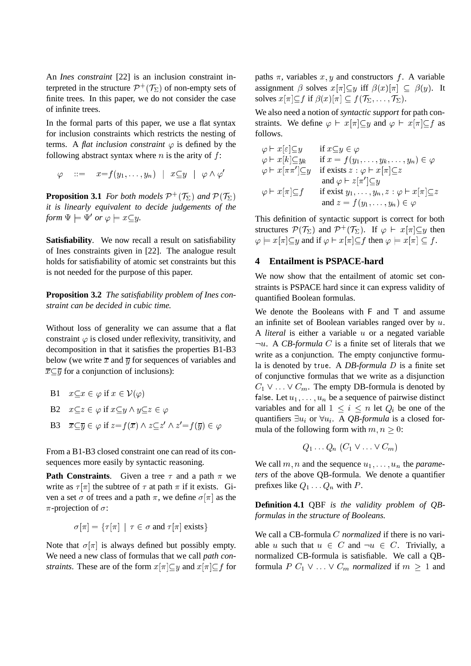An *Ines constraint* [22] is an inclusion constraint interpreted in the structure  $\mathcal{P}^+(\mathcal{T}_\Sigma)$  of non-empty sets of finite trees. In this paper, we do not consider the case of infinite trees.

In the formal parts of this paper, we use a flat syntax for inclusion constraints which restricts the nesting of terms. A *flat inclusion constraint*  $\varphi$  is defined by the following abstract syntax where  $n$  is the arity of  $f$ :

$$
\varphi \quad ::= \quad x{=}f(y_1,\ldots,y_n) \ \mid \ x{\subseteq}y \ \mid \ \varphi \wedge \varphi'
$$

**Proposition 3.1** *For both models*  $\mathcal{P}^+(\mathcal{T}_\Sigma)$  *and*  $\mathcal{P}(\mathcal{T}_\Sigma)$ *it is linearly equivalent to decide judgements of the form*  $\Psi \models \Psi'$  or  $\varphi \models x \subseteq y$ .

**Satisfiability**. We now recall a result on satisfiability of Ines constraints given in [22]. The analogue result holds for satisfiability of atomic set constraints but this is not needed for the purpose of this paper.

**Proposition 3.2** *The satisfiability problem of Ines constraint can be decided in cubic time.*

Without loss of generality we can assume that a flat constraint  $\varphi$  is closed under reflexivity, transitivity, and decomposition in that it satisfies the properties B1-B3 below (we write  $\bar{x}$  and  $\bar{y}$  for sequences of variables and  $\overline{x} \subseteq \overline{y}$  for a conjunction of inclusions):

\n- B1 
$$
x \subseteq x \in \varphi
$$
 if  $x \in \mathcal{V}(\varphi)$
\n- B2  $x \subseteq z \in \varphi$  if  $x \subseteq y \land y \subseteq z \in \varphi$
\n- B3  $\overline{x} \subseteq \overline{y} \in \varphi$  if  $z = f(\overline{x}) \land z \subseteq z' \land z' = f(\overline{y}) \in \varphi$
\n

From a B1-B3 closed constraint one can read of its consequences more easily by syntactic reasoning.

**Path Constraints.** Given a tree  $\tau$  and a path  $\pi$  we write as  $\tau[\pi]$  the subtree of  $\tau$  at path  $\pi$  if it exists. Given a set  $\sigma$  of trees and a path  $\pi$ , we define  $\sigma[\pi]$  as the  $\pi$ -projection of  $\sigma$ :

$$
\sigma[\pi] = \{ \tau[\pi] \mid \tau \in \sigma \text{ and } \tau[\pi] \text{ exists} \}
$$

Note that  $\sigma[\pi]$  is always defined but possibly empty. We need a new class of formulas that we call *path constraints*. These are of the form  $x[\pi] \subset y$  and  $x[\pi] \subset f$  for paths  $\pi$ , variables x, y and constructors f. A variable assignment  $\beta$  solves  $x[\pi] \subseteq y$  iff  $\beta(x)[\pi] \subseteq \beta(y)$ . It solves  $x[\pi] \subseteq f$  if  $\beta(x)[\pi] \subseteq f(\mathcal{T}_\Sigma, \ldots, \mathcal{T}_\Sigma)$ .

We also need a notion of *syntactic support* for path constraints. We define  $\varphi \vdash x[\pi] \subseteq y$  and  $\varphi \vdash x[\pi] \subseteq f$  as follows.

$$
\varphi \vdash x[\varepsilon] \subseteq y \quad \text{if } x \subseteq y \in \varphi
$$
  
\n
$$
\varphi \vdash x[k] \subseteq y_k \quad \text{if } x = f(y_1, \dots, y_k, \dots, y_n) \in \varphi
$$
  
\n
$$
\varphi \vdash x[\pi \pi'] \subseteq y \quad \text{if exists } z : \varphi \vdash x[\pi] \subseteq z
$$
  
\nand 
$$
\varphi \vdash z[\pi'] \subseteq y
$$
  
\n
$$
\varphi \vdash x[\pi] \subseteq f \quad \text{if exist } y_1, \dots, y_n, z : \varphi \vdash x[\pi] \subseteq z
$$
  
\nand 
$$
z = f(y_1, \dots, y_n) \in \varphi
$$

This definition of syntactic support is correct for both structures  $\mathcal{P}(\mathcal{T}_{\Sigma})$  and  $\mathcal{P}^+(\mathcal{T}_{\Sigma})$ . If  $\varphi \vdash x[\pi] \subseteq y$  then  $\varphi \models x[\pi] \subseteq y$  and if  $\varphi \vdash x[\pi] \subseteq f$  then  $\varphi \models x[\pi] \subseteq f$ .

# **4 Entailment is PSPACE-hard**

We now show that the entailment of atomic set constraints is PSPACE hard since it can express validity of quantified Boolean formulas.

We denote the Booleans with F and T and assume an infinite set of Boolean variables ranged over by <sup>u</sup>. A *literal* is either a variable u or a negated variable  $\neg u$ . A *CB-formula C* is a finite set of literals that we write as a conjunction. The empty conjunctive formula is denoted by true. A *DB-formula* D is a finite set of conjunctive formulas that we write as a disjunction  $C_1 \vee \ldots \vee C_m$ . The empty DB-formula is denoted by false. Let  $u_1, \ldots, u_n$  be a sequence of pairwise distinct variables and for all  $1 \leq i \leq n$  let  $Q_i$  be one of the quantifiers  $\exists u_i$  or  $\forall u_i$ . A *QB-formula* is a closed formula of the following form with  $m, n \geq 0$ :

$$
Q_1 \ldots Q_n (C_1 \vee \ldots \vee C_m)
$$

We call  $m, n$  and the sequence  $u_1, \ldots, u_n$  the *parameters* of the above QB-formula. We denote a quantifier prefixes like  $Q_1 \ldots Q_n$  with P.

**Definition 4.1** QBF *is the validity problem of QBformulas in the structure of Booleans.*

We call a CB-formula <sup>C</sup> *normalized* if there is no variable u such that  $u \in C$  and  $\neg u \in C$ . Trivially, a normalized CB-formula is satisfiable. We call a QBformula  $P C_1 \vee \ldots \vee C_m$  *normalized* if  $m \geq 1$  and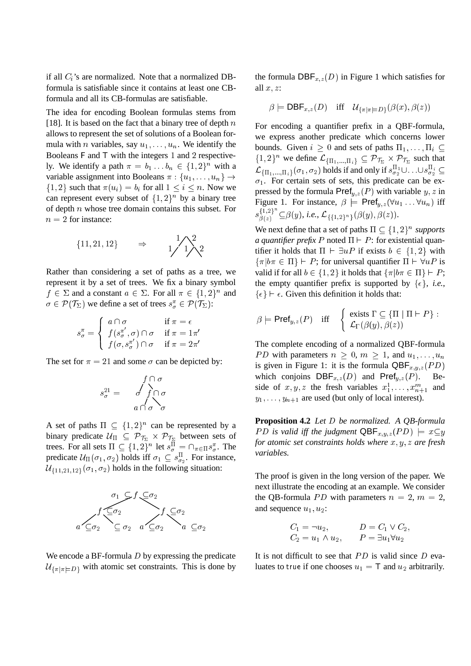if all  $C_i$ 's are normalized. Note that a normalized DBformula is satisfiable since it contains at least one CBformula and all its CB-formulas are satisfiable.

The idea for encoding Boolean formulas stems from [18]. It is based on the fact that a binary tree of depth  $n$ allows to represent the set of solutions of a Boolean formula with *n* variables, say  $u_1, \ldots, u_n$ . We identify the Booleans <sup>F</sup> and <sup>T</sup> with the integers <sup>1</sup> and <sup>2</sup> respectively. We identify a path  $\pi = b_1 \dots b_n \in \{1,2\}^n$  with a variable assignment into Booleans  $\pi : \{u_1, \ldots, u_n\} \rightarrow$  $\{1, 2\}$  such that  $\pi(u_i) = b_i$  for all  $1 \le i \le n$ . Now we can represent every subset of  $\{1,2\}^n$  by a binary tree of depth  $n$  whose tree domain contains this subset. For  $n = 2$  for instance:

$$
\{11, 21, 12\} \qquad \Rightarrow \qquad \frac{1}{1} \begin{matrix} 2 \\ 1 \end{matrix} \begin{matrix} 2 \\ 2 \end{matrix}
$$

Rather than considering a set of paths as a tree, we represent it by a set of trees. We fix a binary symbol  $f \in \Sigma$  and a constant  $a \in \Sigma$ . For all  $\pi \in \{1,2\}^n$  and  $\sigma \in \mathcal{P}(\mathcal{T}_{\Sigma})$  we define a set of trees  $s_{\sigma}^{\pi} \in \mathcal{P}(\mathcal{T}_{\Sigma})$ :

$$
s_{\sigma}^{\pi} = \begin{cases} a \cap \sigma & \text{if } \pi = \epsilon \\ f(s_{\sigma}^{\pi'}, \sigma) \cap \sigma & \text{if } \pi = 1\pi' \\ f(\sigma, s_{\sigma}^{\pi'}) \cap \sigma & \text{if } \pi = 2\pi' \end{cases}
$$

- -

The set for  $\pi = 21$  and some  $\sigma$  can be depicted by:

$$
s_{\sigma}^{21} = \n\begin{array}{c}\n f \cap \sigma \\
 \uparrow \\
 f \cap \sigma \\
 a \cap \sigma \end{array}
$$

A set of paths  $\Pi \subseteq \{1,2\}^n$  can be represented by a binary predicate  $\mathcal{U}_{\Pi} \subseteq \mathcal{P}_{\mathcal{T}_{\Sigma}} \times \mathcal{P}_{\mathcal{T}_{\Sigma}}$  between sets of trees. For all sets  $\Pi \subseteq \{1,2\}^n$  let  $s_{\sigma}^{\Pi} = \cap_{\pi \in \Pi} s_{\sigma}^{\pi}$ . The predicate  $\mathcal{U}_{\Pi}(\sigma_1, \sigma_2)$  holds iff  $\sigma_1 \subseteq s_{\sigma_2}^{\Pi}$ . For instance,  $\mathcal{U}_{\{11,21,12\}}(\sigma_1,\sigma_2)$  holds in the following situation:



We encode a BF-formula  $D$  by expressing the predicate  $\mathcal{U}_{\{\pi|\pi\|=D\}}$  with atomic set constraints. This is done by the formula  $\mathsf{DBF}_{x,z}(D)$  in Figure 1 which satisfies for all  $x, z$ :

$$
\beta \models \mathsf{DBF}_{x,z}(D) \quad \text{iff} \quad \mathcal{U}_{\{\pi|\pi\models D\}}(\beta(x), \beta(z))
$$

For encoding a quantifier prefix in a QBF-formula, we express another predicate which concerns lower bounds. Given  $i \geq 0$  and sets of paths  $\Pi_1, \ldots, \Pi_i \subseteq$  $\{1,2\}^n$  we define  $\mathcal{L}_{\{\Pi_1,\dots,\Pi_i\}} \subseteq \mathcal{P}_{\mathcal{T}_{\Sigma}} \times \mathcal{P}_{\mathcal{T}_{\Sigma}}$  such that  $\mathcal{L}_{\{\Pi_1,...,\Pi_i\}}(\sigma_1,\sigma_2)$  holds if and only if  $s_{\sigma_2}^{\Pi_1}\cup\ldots\cup s_{\sigma_2}^{\Pi_i}\subseteq$  $\sigma_1$ . For certain sets of sets, this predicate can be expressed by the formula  $\mathsf{Pref}_{y,z}(P)$  with variable  $y, z$  in Figure 1. For instance,  $\beta \models \text{Pref}_{y,z}(\forall u_1 \dots \forall u_n)$  iff  $s_{\beta(z)}^{\{1,2\}^n} \subseteq \beta(y)$ , i.e.,  $\mathcal{L}_{\{\{1,2\}^n\}}(\beta(y),\beta(z)).$ 

We next define that a set of paths  $\Pi \subseteq \{1,2\}^n$  supports *a quantifier prefix* P noted  $\Pi \vdash P$ : for existential quantifier it holds that  $\Pi \vdash \exists u P$  if exists  $b \in \{1, 2\}$  with  $\{\pi | b\pi \in \Pi\} \vdash P$ ; for universal quantifier  $\Pi \vdash \forall u P$  is valid if for all  $b \in \{1, 2\}$  it holds that  $\{\pi | b\pi \in \Pi\} \vdash P$ ; the empty quantifier prefix is supported by  $\{\epsilon\}, i.e.,$  $\{\epsilon\} \vdash \epsilon$ . Given this definition it holds that:

$$
\beta \models \mathsf{Pref}_{y,z}(P) \quad \text{iff} \quad \left\{ \begin{array}{l} \text{exists } \Gamma \subseteq \{\Pi \mid \Pi \vdash P\} : \\ \mathcal{L}_{\Gamma}(\beta(y), \beta(z)) \end{array} \right.
$$

The complete encoding of a normalized QBF-formula *PD* with parameters  $n \geq 0, m \geq 1$ , and  $u_1, \ldots, u_n$ is given in Figure 1: it is the formula  $\mathsf{QBF}_{x,y,z}(PD)$ which conjoins  $DBF_{x,z}(D)$  and  $Pref_{y,z}(P)$ . Beside of  $x, y, z$  the fresh variables  $x_1^1, \ldots, x_{n+1}^m$  and  $y_1, \ldots, y_{n+1}$  are used (but only of local interest).

**Proposition 4.2** *Let* <sup>D</sup> *be normalized. A QB-formula PD* is valid iff the judgment  $\textsf{QBF}_{x,y,z}(PD) \models x \subseteq y$ *for atomic set constraints holds where* x; y; z *are fresh variables.*

The proof is given in the long version of the paper. We next illustrate the encoding at an example. We consider the QB-formula PD with parameters  $n = 2$ ,  $m = 2$ , and sequence  $u_1, u_2$ :

$$
C_1 = \neg u_2,
$$
  
\n
$$
D = C_1 \lor C_2,
$$
  
\n
$$
C_2 = u_1 \land u_2,
$$
  
\n
$$
P = \exists u_1 \forall u_2
$$

It is not difficult to see that  $PD$  is valid since  $D$  evaluates to true if one chooses  $u_1 = T$  and  $u_2$  arbitrarily.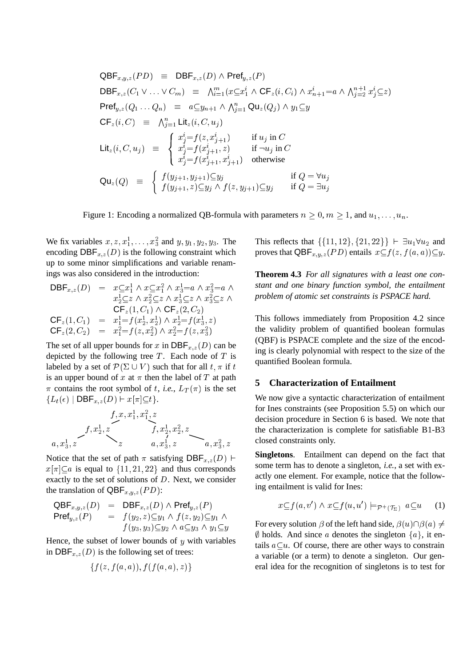$$
\begin{array}{rcll} \mathsf{QBF}_{x,y,z}(PD) & \equiv & \mathsf{DBF}_{x,z}(D) \wedge \mathsf{Pref}_{y,z}(P) \\ \mathsf{DBF}_{x,z}(C_1 \vee \ldots \vee C_m) & \equiv & \bigwedge_{i=1}^m (x \subseteq x_1^i \wedge \mathsf{CF}_z(i,C_i) \wedge x_{n+1}^i = a \wedge \bigwedge_{j=2}^{n+1} x_j^i \subseteq z) \\ \mathsf{Pref}_{y,z}(Q_1 \ldots Q_n) & \equiv & a \subseteq y_{n+1} \wedge \bigwedge_{j=1}^n \mathsf{Qu}_z(Q_j) \wedge y_1 \subseteq y \\ \mathsf{CF}_z(i,C) & \equiv & \bigwedge_{j=1}^n \mathsf{Lit}_z(i,C,u_j) \\ \mathsf{Lit}_z(i,C,u_j) & \equiv & \left\{ \begin{array}{cl} x_j^i = f(z,x_{j+1}^i) & \text{if } u_j \text{ in } C \\ x_j^i = f(x_{j+1}^i,z) & \text{if } \neg u_j \text{ in } C \\ x_j^i = f(x_{j+1}^i,x_{j+1}^i) & \text{otherwise} \end{array} \right. \\ \mathsf{Qu}_z(Q) & \equiv & \left\{ \begin{array}{cl} f(y_{j+1},y_{j+1}) \subseteq y_j & \text{if } Q = \forall u_j \\ f(y_{j+1},z) \subseteq y_j \wedge f(z,y_{j+1}) \subseteq y_j & \text{if } Q = \exists u_j \end{array} \right. \end{array}
$$

Figure 1: Encoding a normalized QB-formula with parameters  $n \geq 0, m \geq 1$ , and  $u_1, \ldots, u_n$ .

We fix variables  $x, z, x_1^1, \ldots, x_3^2$  and  $y, y_1, y_2, y_3$ . The encoding  $\mathsf{DBF}_{x,z}(D)$  is the following constraint which up to some minor simplifications and variable renamings was also considered in the introduction:

$$
\begin{array}{rcl}\n\mathsf{DBF}_{x,z}(D) & = & x \subseteq x_1^1 \land x \subseteq x_1^2 \land x_3^1 = a \land x_3^2 = a \land \\
& x_2^1 \subseteq z \land x_2^2 \subseteq z \land x_3^1 \subseteq z \land x_3^2 \subseteq z \land \\
& \mathsf{CF}_z(1, C_1) \land \mathsf{CF}_z(2, C_2) \\
\mathsf{CF}_z(1, C_1) & = & x_1^1 = f(x_2^1, x_2^1) \land x_2^1 = f(x_3^1, z) \\
\mathsf{CF}_z(2, C_2) & = & x_1^2 = f(z, x_2^2) \land x_2^2 = f(z, x_3^2)\n\end{array}
$$

The set of all upper bounds for x in  $DBF_{x,z}(D)$  can be depicted by the following tree  $T$ . Each node of  $T$  is labeled by a set of  $\mathcal{P}(\Sigma \cup V)$  such that for all  $t, \pi$  if  $t$ is an upper bound of x at  $\pi$  then the label of T at path  $\pi$  contains the root symbol of t, *i.e.*,  $L_T(\pi)$  is the set  ${L_t(\epsilon) | \text{DBF}_{x,z}(D) \vdash x[\pi] \subseteq t}.$ 

$$
f, x, x_1^1, x_1^2, z
$$
  
\n
$$
f, x_2^1, z
$$
  
\n
$$
f, x_2^1, x_2^2, z
$$
  
\n
$$
a, x_3^1, z
$$
  
\n
$$
a, x_4^1, z
$$
  
\n
$$
a, x_3^2, z
$$

Notice that the set of path  $\pi$  satisfying DBF<sub>x,z</sub>(D)  $\vdash$  $x[\pi] \subseteq a$  is equal to  $\{11, 21, 22\}$  and thus corresponds exactly to the set of solutions of <sup>D</sup>. Next, we consider the translation of  $QBF_{x,y,z}(PD)$ :

$$
\begin{array}{rcl}\n\mathsf{QBF}_{x,y,z}(D) & = & \mathsf{DBF}_{x,z}(D) \land \mathsf{Pref}_{y,z}(P) \\
\mathsf{Pref}_{y,z}(P) & = & f(y_2, z) \subseteq y_1 \land f(z, y_2) \subseteq y_1 \land \\
& & f(y_3, y_3) \subseteq y_2 \land a \subseteq y_3 \land y_1 \subseteq y\n\end{array}
$$

Hence, the subset of lower bounds of  $y$  with variables in  $\mathsf{DBF}_{x,z}(D)$  is the following set of trees:

$$
\{f(z,f(a,a)),f(f(a,a),z)\}\
$$

This reflects that  $\{\{11, 12\}, \{21, 22\}\}$  +  $\exists u_1 \forall u_2$  and proves that  $\mathsf{QBF}_{x,y,z}(PD)$  entails  $x \subseteq f(z, f(a, a)) \subseteq y$ .

**Theorem 4.3** *For all signatures with a least one constant and one binary function symbol, the entailment problem of atomic set constraints is PSPACE hard.*

This follows immediately from Proposition 4.2 since the validity problem of quantified boolean formulas (QBF) is PSPACE complete and the size of the encoding is clearly polynomial with respect to the size of the quantified Boolean formula.

#### **5 Characterization of Entailment**

We now give a syntactic characterization of entailment for Ines constraints (see Proposition 5.5) on which our decision procedure in Section 6 is based. We note that the characterization is complete for satisfiable B1-B3 closed constraints only.

**Singletons**. Entailment can depend on the fact that some term has to denote a singleton, *i.e.*, a set with exactly one element. For example, notice that the following entailment is valid for Ines:

$$
x \subseteq f(a, v') \land x \subseteq f(u, u') \models_{\mathcal{P}^+(\mathcal{T}_\Sigma)} a \subseteq u \qquad (1)
$$

For every solution  $\beta$  of the left hand side,  $\beta(u)\cap\beta(a)\neq\emptyset$  $\emptyset$  holds. And since a denotes the singleton  $\{a\}$ , it entails  $a \subseteq u$ . Of course, there are other ways to constrain a variable (or a term) to denote a singleton. Our general idea for the recognition of singletons is to test for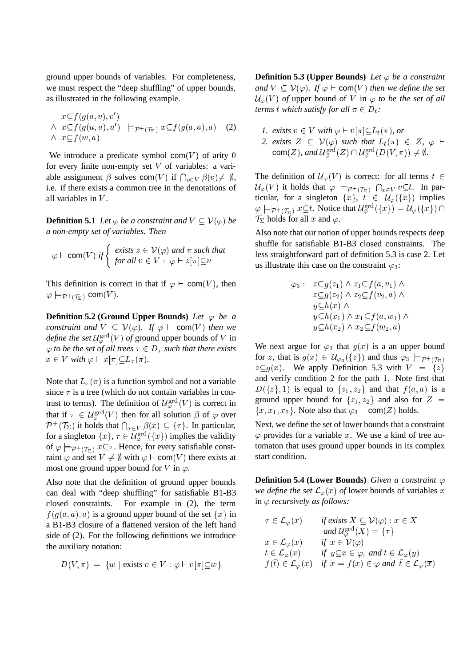ground upper bounds of variables. For completeness, we must respect the "deep shuffling" of upper bounds, as illustrated in the following example.

$$
x \subseteq f(g(a, v), v')
$$
  

$$
\land x \subseteq f(g(u, a), u') \models_{\mathcal{P}^+(\mathcal{T}_{\Sigma})} x \subseteq f(g(a, a), a)
$$
 (2)  

$$
\land x \subseteq f(w, a)
$$

We introduce a predicate symbol  $com(V)$  of arity 0 for every finite non-empty set  $V$  of variables: a variable assignment  $\beta$  solves com(V) if  $\bigcap_{v \in V} \beta(v) \neq \emptyset$ , i.e. if there exists a common tree in the denotations of all variables in V .

**Definition 5.1** Let  $\varphi$  be a constraint and  $V \subseteq V(\varphi)$  be *a non-empty set of variables. Then*

$$
\varphi \vdash \text{com}(V) \text{ if } \begin{cases} \text{ exists } z \in \mathcal{V}(\varphi) \text{ and } \pi \text{ such that} \\ \text{ for all } v \in V : \varphi \vdash z[\pi] \subseteq v \end{cases}
$$

This definition is correct in that if  $\varphi \vdash \text{com}(V)$ , then  $\varphi \models_{\mathcal{P}^+(\mathcal{T}_{\Sigma})} \text{com}(V).$ 

**Definition 5.2 (Ground Upper Bounds)** Let  $\varphi$  be a *constraint and*  $V \subseteq V(\varphi)$ *. If*  $\varphi \vdash \text{com}(V)$  *then we define the set*  $\mathcal{U}_{\varphi}^{\mathrm{grd}}(V)$  *of* ground upper bounds of  $V$  in  $\varphi$  to be the set of all trees  $\tau \in D_{\tau}$  such that there exists  $x \in V$  *with*  $\varphi \vdash x[\pi] \subseteq L_{\tau}(\pi)$ .

Note that  $L_{\tau}(\pi)$  is a function symbol and not a variable since  $\tau$  is a tree (which do not contain variables in contrast to terms). The definition of  $\mathcal{U}_{\varphi}^{\text{grd}}(V)$  is correct in that if  $\tau \in \mathcal{U}_{\varphi}^{\text{grd}}(V)$  then for all solution  $\beta$  of  $\varphi$  over  $\mathcal{P}^+(\mathcal{T}_{\Sigma})$  it holds that  $\bigcap_{x \in V} \beta(x) \subseteq {\{\tau\}}$ . In particular, for a singleton  $\{x\}$ ,  $\tau \in \mathcal{U}_{\varphi}^{\text{grd}}(\{x\})$  implies the validity of  $\varphi \models_{\mathcal{P}^+(\mathcal{T}_{\Sigma})} x \subseteq \tau$ . Hence, for every satisfiable constraint  $\varphi$  and set  $V \neq \emptyset$  with  $\varphi \vdash \text{com}(V)$  there exists at most one ground upper bound for V in  $\varphi$ .

Also note that the definition of ground upper bounds can deal with "deep shuffling" for satisfiable B1-B3 closed constraints. For example in (2), the term  $f(g(a, a), a)$  is a ground upper bound of the set  $\{x\}$  in a B1-B3 closure of a flattened version of the left hand side of (2). For the following definitions we introduce the auxiliary notation:

$$
D(V, \pi) = \{w \mid \text{exists } v \in V : \varphi \vdash v[\pi] \subseteq w\}
$$

**Definition 5.3 (Upper Bounds)** Let  $\varphi$  be a constraint *and*  $V \subseteq V(\varphi)$ *. If*  $\varphi \vdash \text{com}(V)$  *then we define the set*  $\mathcal{U}_{\varphi}(V)$  *of* upper bound of V in  $\varphi$  *to be the set of all terms t which satisfy for all*  $\pi \in D_t$ *:* 

- *1.* exists  $v \in V$  with  $\varphi \vdash v[\pi] \subseteq L_t(\pi)$ , or
- *2. exists*  $Z \subseteq V(\varphi)$  *such that*  $L_t(\pi) \in Z$ ,  $\varphi$   $\vdash$  $\mathsf{com}(Z)$ *, and*  $\mathcal{U}^{\text{grd}}_\varphi(Z) \cap \mathcal{U}^{\text{grd}}_\varphi(D(V,\pi)) \neq \emptyset$ *.*

The definition of  $\mathcal{U}_{\varphi}(V)$  is correct: for all terms  $t \in$  $\mathcal{U}_{\varphi}(V)$  it holds that  $\varphi \models_{\mathcal{P}^+(\mathcal{T}_{\Sigma})} \bigcap_{v\in V} v\subseteq t.$  In particular, for a singleton  $\{x\}$ ,  $t \in \mathcal{U}_{\varphi}(\{x\})$  implies  $\varphi \models_{\mathcal{P}^+(\mathcal{T}_\Sigma)} x \subseteq t$ . Notice that  $\mathcal{U}^{\text{grd}}_{\varphi}(\{x\}) = \mathcal{U}_{\varphi}(\{x\}) \cap$  $\mathcal{T}_{\Sigma}$  holds for all x and  $\varphi$ .

Also note that our notion of upper bounds respects deep shuffle for satisfiable B1-B3 closed constraints. The less straightforward part of definition 5.3 is case 2. Let us illustrate this case on the constraint  $\varphi_3$ :

$$
\varphi_3: \quad z \subseteq g(z_1) \land z_1 \subseteq f(a, v_1) \land \n z \subseteq g(z_2) \land z_2 \subseteq f(v_2, a) \land \n y \subseteq h(x) \land \n y \subseteq h(x_1) \land x_1 \subseteq f(a, w_1) \land \n y \subseteq h(x_2) \land x_2 \subseteq f(w_2, a)
$$

We next argue for  $\varphi_3$  that  $g(x)$  is a an upper bound for z, that is  $g(x) \in \mathcal{U}_{\varphi_3}(\{z\})$  and thus  $\varphi_3 \models_{\mathcal{P}^+(\mathcal{T}_{\Sigma})}$  $z \subseteq g(x)$ . We apply Definition 5.3 with  $V = \{z\}$ and verify condition 2 for the path <sup>1</sup>. Note first that  $D({z}, 1)$  is equal to  ${z_1, z_2}$  and that  $f(a, a)$  is a ground upper bound for  $\{z_1, z_2\}$  and also for  $Z =$  ${x, x_1, x_2}$ . Note also that  $\varphi_3$   $\vdash$  com(Z) holds.

Next, we define the set of lower bounds that a constraint  $\varphi$  provides for a variable x. We use a kind of tree automaton that uses ground upper bounds in its complex start condition.

**Definition 5.4 (Lower Bounds)** *Given a constraint*  $\varphi$ *we define the set*  $\mathcal{L}_{\varphi}(x)$  *of* lower bounds of variables x in  $\varphi$  *recursively as follows:* 

$$
\tau \in \mathcal{L}_{\varphi}(x) \quad \text{if exists } X \subseteq \mathcal{V}(\varphi) : x \in X
$$
\n
$$
\text{and } \mathcal{U}_{\varphi}^{\text{grd}}(X) = \{\tau\}
$$
\n
$$
x \in \mathcal{L}_{\varphi}(x) \quad \text{if } x \in \mathcal{V}(\varphi)
$$
\n
$$
t \in \mathcal{L}_{\varphi}(x) \quad \text{if } y \subseteq x \in \varphi, \text{ and } t \in \mathcal{L}_{\varphi}(y)
$$
\n
$$
f(\overline{t}) \in \mathcal{L}_{\varphi}(x) \quad \text{if } x = f(\overline{x}) \in \varphi \text{ and } \overline{t} \in \mathcal{L}_{\varphi}(\overline{x})
$$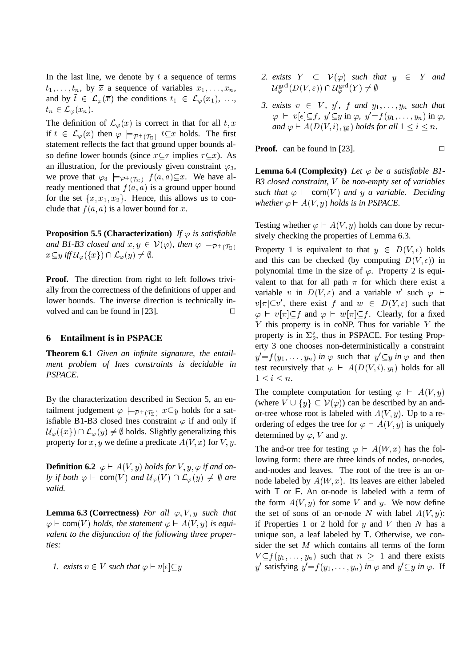In the last line, we denote by  $\bar{t}$  a sequence of terms  $t_1, \ldots, t_n$ , by  $\overline{x}$  a sequence of variables  $x_1, \ldots, x_n$ , and by  $\bar{t} \in \mathcal{L}_{\varphi}(\bar{x})$  the conditions  $t_1 \in \mathcal{L}_{\varphi}(x_1), \ldots,$  $t_n \in \mathcal{L}_{\varphi}(x_n)$ .

The definition of  $\mathcal{L}_{\varphi}(x)$  is correct in that for all t, x if  $t \in \mathcal{L}_{\varphi}(x)$  then  $\varphi \models_{\mathcal{P}^{+}(\mathcal{T}_{\infty})} t \subseteq x$  holds. The first statement reflects the fact that ground upper bounds also define lower bounds (since  $x \subseteq \tau$  implies  $\tau \subseteq x$ ). As an illustration, for the previously given constraint  $\varphi_3$ , we prove that  $\varphi_3 \models_{\mathcal{P}^+(\mathcal{T}_\Sigma)} f(a, a) \subseteq x$ . We have already mentioned that  $f(a, a)$  is a ground upper bound for the set  $\{x, x_1, x_2\}$ . Hence, this allows us to conclude that  $f(a, a)$  is a lower bound for x.

**Proposition 5.5 (Characterization)** *If*  $\varphi$  *is satisfiable and B1-B3 closed and*  $x, y \in V(\varphi)$ *, then*  $\varphi \models_{\mathcal{P}^+(\mathcal{T}_{\Sigma})}$  $x \subseteq y$  *iff*  $\mathcal{U}_{\varphi}(\lbrace x \rbrace) \cap \mathcal{L}_{\varphi}(y) \neq \emptyset$ .

**Proof.** The direction from right to left follows trivially from the correctness of the definitions of upper and lower bounds. The inverse direction is technically involved and can be found in [23].  $\Box$ 

### **6 Entailment is in PSPACE**

**Theorem 6.1** *Given an infinite signature, the entailment problem of Ines constraints is decidable in PSPACE.*

By the characterization described in Section 5, an entailment judgement  $\varphi \models_{\mathcal{P}^+(\mathcal{T}_{\Sigma})} x \subseteq y$  holds for a satisfiable B1-B3 closed Ines constraint  $\varphi$  if and only if  $U_{\varphi}(\{x\}) \cap \mathcal{L}_{\varphi}(y) \neq \emptyset$  holds. Slightly generalizing this property for x, y we define a predicate  $A(V, x)$  for V, y.

**Definition 6.2**  $\varphi \vdash A(V, y)$  *holds for*  $V, y, \varphi$  *if and only if both*  $\varphi \vdash \text{com}(V)$  *and*  $\mathcal{U}_{\varphi}(V) \cap \mathcal{L}_{\varphi}(y) \neq \emptyset$  *are valid.*

**Lemma 6.3 (Correctness)** For all  $\varphi$ , V, y *such that*  $\varphi \vdash \text{com}(V)$  *holds, the statement*  $\varphi \vdash A(V, y)$  *is equivalent to the disjunction of the following three properties:*

*1.* exists  $v \in V$  *such that*  $\varphi \vdash v[\epsilon] \subset y$ 

- *2. exists*  $Y \subseteq V(\varphi)$  *such that*  $y \in Y$  *and*  $\mathcal{U}_{\varphi}^{\circ}$   $(D(V,\varepsilon)) \sqcup \mathcal{U}_{\varphi}^{\circ}$   $(Y) \neq \emptyset$
- *3. exists*  $v \in V$ ,  $y'$ ,  $f$  *and*  $y_1, \ldots, y_n$  *such that*  $\varphi \ \vdash \ v[\epsilon] \subseteq f, \ y' \subseteq y \text{ in } \varphi, \ y' = f(y_1, \ldots, y_n) \text{ in } \varphi,$ *and*  $\varphi$   $\vdash$   $A(D(V, i), y_i)$  *holds for all*  $1 \leq i \leq n$ *.*

**Proof.** can be found in [23].  $\Box$ 

**Lemma 6.4 (Complexity)** *Let*  $\varphi$  *be a satisfiable B1*-*B3 closed constraint,* <sup>V</sup> *be non-empty set of variables such that*  $\varphi \vdash \text{com}(V)$  *and* y *a* variable. Deciding *whether*  $\varphi$   $\vdash$   $A(V, y)$  *holds is in PSPACE.* 

Testing whether  $\varphi \vdash A(V, y)$  holds can done by recursively checking the properties of Lemma 6.3.

Property 1 is equivalent to that  $y \in D(V, \epsilon)$  holds and this can be checked (by computing  $D(V, \epsilon)$ ) in polynomial time in the size of  $\varphi$ . Property 2 is equivalent to that for all path  $\pi$  for which there exist a variable v in  $D(V, \varepsilon)$  and a variable v' such  $\varphi \vdash$  $v[\pi] \subseteq v'$ , there exist f and  $w \in D(Y, \varepsilon)$  such that  $\varphi \vdash v[\pi] \subseteq f$  and  $\varphi \vdash w[\pi] \subseteq f$ . Clearly, for a fixed Y this property is in coNP. Thus for variable Y the property is in  $\Sigma_2^{\text{P}}$ , thus in PSPACE. For testing Property 3 one chooses non-deterministically a constraint  $y'=f(y_1,\ldots,y_n)$  *in*  $\varphi$  such that  $y'\subseteq y$  *in*  $\varphi$  and then test recursively that  $\varphi \vdash A(D(V, i), y_i)$  holds for all  $1 \leq i \leq n$ .

The complete computation for testing  $\varphi \vdash A(V, y)$ (where  $V \cup \{y\} \subset V(\varphi)$ ) can be described by an andor-tree whose root is labeled with  $A(V, y)$ . Up to a reordering of edges the tree for  $\varphi \vdash A(V, y)$  is uniquely determined by  $\varphi$ , V and y.

The and-or tree for testing  $\varphi \vdash A(W, x)$  has the following form: there are three kinds of nodes, or-nodes, and-nodes and leaves. The root of the tree is an ornode labeled by  $A(W, x)$ . Its leaves are either labeled with T or F. An or-node is labeled with a term of the form  $A(V, y)$  for some V and y. We now define the set of sons of an or-node N with label  $A(V, y)$ : if Properties 1 or 2 hold for  $y$  and  $V$  then  $N$  has a unique son, a leaf labeled by T. Otherwise, we consider the set M which contains all terms of the form  $V \subseteq f(y_1, \ldots, y_n)$  such that  $n \geq 1$  and there exists y' satisfying  $y' = f(y_1, \ldots, y_n)$  *in*  $\varphi$  and  $y' \subseteq y$  *in*  $\varphi$ . If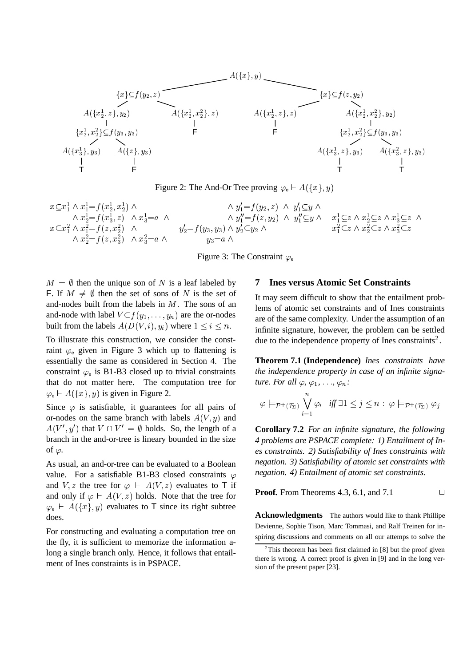

Figure 2: The And-Or Tree proving  $\varphi_e \vdash A(\{x\}, y)$ 

$$
x \subseteq x_1^1 \land x_1^1 = f(x_2^1, x_2^1) \land \qquad \land y_1' = f(y_2, z) \land y_1' \subseteq y \land \n\land x_2^1 = f(x_3^1, z) \land x_3^1 = a \land \qquad \land y_1'' = f(z, y_2) \land y_1'' \subseteq y \land x_1^1 \subseteq z \land x_2^1 \subseteq z \land x_3^1 \subseteq z \land \nx \subseteq x_1^2 \land x_1^2 = f(z, x_2^2) \land y_2' = f(y_3, y_3) \land y_2' \subseteq y_2 \land x_1'' \subseteq z \land x_2'' \subseteq z \land x_3'' \subseteq z \n\land y_3 = a \land y_3 = a \land
$$

Figure 3: The Constraint  $\varphi_e$ 

 $M = \emptyset$  then the unique son of N is a leaf labeled by F. If  $M \neq \emptyset$  then the set of sons of N is the set of and-nodes built from the labels in <sup>M</sup>. The sons of an and-node with label  $V \subseteq f(y_1, \ldots, y_n)$  are the or-nodes built from the labels  $A(D(V, i), y_i)$  where  $1 \le i \le n$ .

To illustrate this construction, we consider the constraint  $\varphi_e$  given in Figure 3 which up to flattening is essentially the same as considered in Section 4. The constraint  $\varphi_e$  is B1-B3 closed up to trivial constraints that do not matter here. The computation tree for  $\varphi_{\rm e} \vdash A({x}, y)$  is given in Figure 2.

Since  $\varphi$  is satisfiable, it guarantees for all pairs of or-nodes on the same branch with labels  $A(V, y)$  and  $A(V', y')$  that  $V \cap V' = \emptyset$  holds. So, the length of a branch in the and-or-tree is lineary bounded in the size of  $\varphi$ .

As usual, an and-or-tree can be evaluated to a Boolean value. For a satisfiable B1-B3 closed constraints  $\varphi$ and V, z the tree for  $\varphi \vdash A(V, z)$  evaluates to T if and only if  $\varphi \vdash A(V, z)$  holds. Note that the tree for  $\varphi_{e} \vdash A(\lbrace x \rbrace, y)$  evaluates to T since its right subtree does.

For constructing and evaluating a computation tree on the fly, it is sufficient to memorize the information along a single branch only. Hence, it follows that entailment of Ines constraints is in PSPACE.

### **7 Ines versus Atomic Set Constraints**

It may seem difficult to show that the entailment problems of atomic set constraints and of Ines constraints are of the same complexity. Under the assumption of an infinite signature, however, the problem can be settled due to the independence property of Ines constraints<sup>2</sup>.

**Theorem 7.1 (Independence)** *Ines constraints have the independence property in case of an infinite signature. For all*  $\varphi$ *,*  $\varphi_1$ *, ...,*  $\varphi_n$ *:* 

$$
\varphi \models_{\mathcal{P}^{+}(\mathcal{T}_{\Sigma})} \bigvee_{i=1}^{n} \varphi_{i} \text{ iff } \exists 1 \leq j \leq n: \varphi \models_{\mathcal{P}^{+}(\mathcal{T}_{\Sigma})} \varphi_{j}
$$

**Corollary 7.2** *For an infinite signature, the following 4 problems are PSPACE complete: 1) Entailment of Ines constraints. 2) Satisfiability of Ines constraints with negation. 3) Satisfiability of atomic set constraints with negation. 4) Entailment of atomic set constraints.*

**Proof.** From Theorems 4.3, 6.1, and 7.1  $\Box$ 

**Acknowledgments** The authors would like to thank Phillipe Devienne, Sophie Tison, Marc Tommasi, and Ralf Treinen for inspiring discussions and comments on all our attemps to solve the

 $2$ This theorem has been first claimed in [8] but the proof given there is wrong. A correct proof is given in [9] and in the long version of the present paper [23].